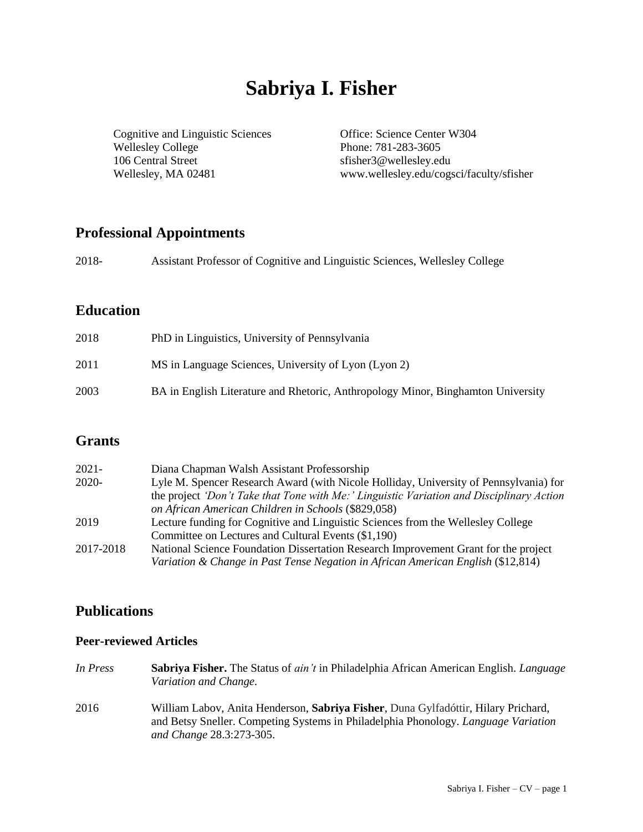# **Sabriya I. Fisher**

Cognitive and Linguistic Sciences Office: Science Center W304 Wellesley College Phone: 781-283-3605 106 Central Street sfisher3@wellesley.edu

Wellesley, MA 02481 www.wellesley.edu/cogsci/faculty/sfisher

# **Professional Appointments**

| 2018- | Assistant Professor of Cognitive and Linguistic Sciences, Wellesley College |  |  |
|-------|-----------------------------------------------------------------------------|--|--|
|       |                                                                             |  |  |

# **Education**

| 2018 | PhD in Linguistics, University of Pennsylvania                                   |
|------|----------------------------------------------------------------------------------|
| 2011 | MS in Language Sciences, University of Lyon (Lyon 2)                             |
| 2003 | BA in English Literature and Rhetoric, Anthropology Minor, Binghamton University |

# **Grants**

| $2021 -$  | Diana Chapman Walsh Assistant Professorship                                              |
|-----------|------------------------------------------------------------------------------------------|
| 2020-     | Lyle M. Spencer Research Award (with Nicole Holliday, University of Pennsylvania) for    |
|           | the project 'Don't Take that Tone with Me:' Linguistic Variation and Disciplinary Action |
|           | on African American Children in Schools (\$829,058)                                      |
| 2019      | Lecture funding for Cognitive and Linguistic Sciences from the Wellesley College         |
|           | Committee on Lectures and Cultural Events (\$1,190)                                      |
| 2017-2018 | National Science Foundation Dissertation Research Improvement Grant for the project      |
|           | Variation & Change in Past Tense Negation in African American English (\$12,814)         |

# **Publications**

#### **Peer-reviewed Articles**

- *In Press* **Sabriya Fisher.** The Status of *ain't* in Philadelphia African American English. *Language Variation and Change.*
- 2016 William Labov, Anita Henderson, **Sabriya Fisher**, Duna Gylfadóttir, Hilary Prichard, and Betsy Sneller. Competing Systems in Philadelphia Phonology. *Language Variation and Change* 28.3:273-305.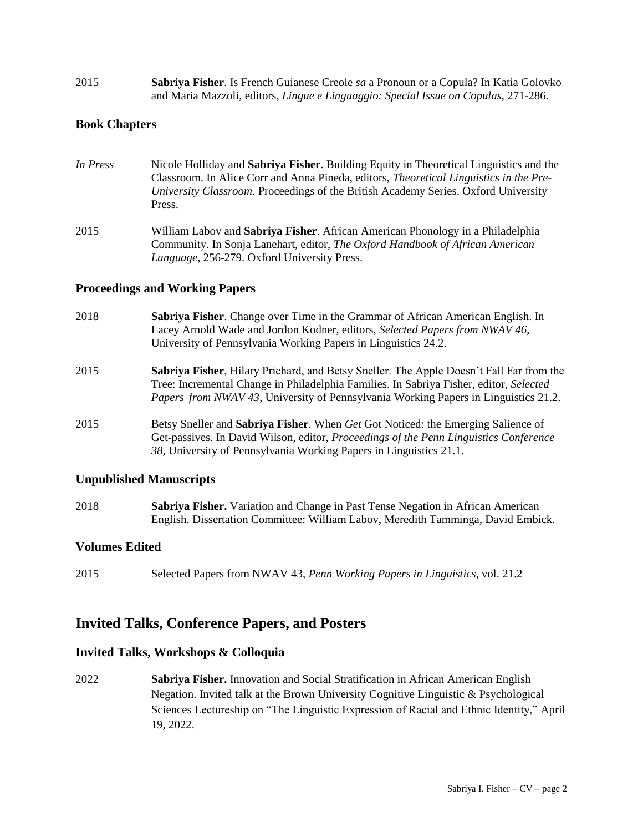2015 **Sabriya Fisher**. Is French Guianese Creole *sa* a Pronoun or a Copula? In Katia Golovko and Maria Mazzoli, editors, *Lingue e Linguaggio: Special Issue on Copulas*, 271-286.

#### **Book Chapters**

- *In Press* Nicole Holliday and **Sabriya Fisher**. Building Equity in Theoretical Linguistics and the Classroom. In Alice Corr and Anna Pineda, editors, *Theoretical Linguistics in the Pre-University Classroom*. Proceedings of the British Academy Series. Oxford University Press.
- 2015 William Labov and **Sabriya Fisher**. African American Phonology in a Philadelphia Community. In Sonja Lanehart, editor, *The Oxford Handbook of African American Language*, 256-279. Oxford University Press.

#### **Proceedings and Working Papers**

- 2018 **Sabriya Fisher**. Change over Time in the Grammar of African American English. In Lacey Arnold Wade and Jordon Kodner, editors, *Selected Papers from NWAV 46*, University of Pennsylvania Working Papers in Linguistics 24.2.
- 2015 **Sabriya Fisher**, Hilary Prichard, and Betsy Sneller. The Apple Doesn't Fall Far from the Tree: Incremental Change in Philadelphia Families. In Sabriya Fisher, editor, *Selected Papers from NWAV 43*, University of Pennsylvania Working Papers in Linguistics 21.2.
- 2015 Betsy Sneller and **Sabriya Fisher**. When *Get* Got Noticed: the Emerging Salience of Get-passives. In David Wilson, editor, *Proceedings of the Penn Linguistics Conference 38,* University of Pennsylvania Working Papers in Linguistics 21.1.

#### **Unpublished Manuscripts**

2018 **Sabriya Fisher.** Variation and Change in Past Tense Negation in African American English. Dissertation Committee: William Labov, Meredith Tamminga, David Embick.

#### **Volumes Edited**

2015 Selected Papers from NWAV 43, *Penn Working Papers in Linguistics*, vol. 21.2

### **Invited Talks, Conference Papers, and Posters**

#### **Invited Talks, Workshops & Colloquia**

2022 **Sabriya Fisher.** Innovation and Social Stratification in African American English Negation. Invited talk at the Brown University Cognitive Linguistic & Psychological Sciences Lectureship on "The Linguistic Expression of Racial and Ethnic Identity," April 19, 2022.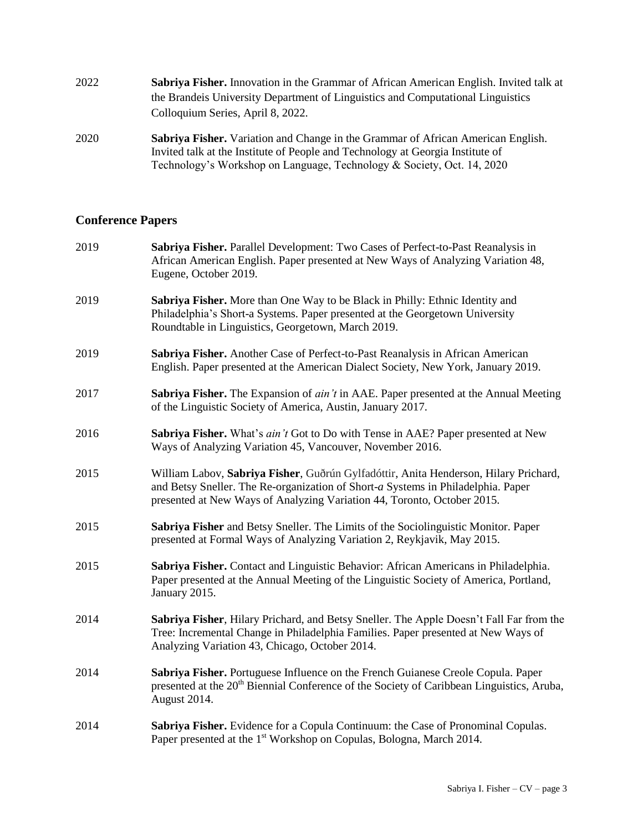| 2022 | <b>Sabriya Fisher.</b> Innovation in the Grammar of African American English. Invited talk at |
|------|-----------------------------------------------------------------------------------------------|
|      | the Brandeis University Department of Linguistics and Computational Linguistics               |
|      | Colloquium Series, April 8, 2022.                                                             |

2020 **Sabriya Fisher.** Variation and Change in the Grammar of African American English. Invited talk at the Institute of People and Technology at Georgia Institute of Technology's Workshop on Language, Technology & Society, Oct. 14, 2020

#### **Conference Papers**

| 2019 | Sabriya Fisher. Parallel Development: Two Cases of Perfect-to-Past Reanalysis in<br>African American English. Paper presented at New Ways of Analyzing Variation 48,<br>Eugene, October 2019.                                                       |
|------|-----------------------------------------------------------------------------------------------------------------------------------------------------------------------------------------------------------------------------------------------------|
| 2019 | Sabriya Fisher. More than One Way to be Black in Philly: Ethnic Identity and<br>Philadelphia's Short-a Systems. Paper presented at the Georgetown University<br>Roundtable in Linguistics, Georgetown, March 2019.                                  |
| 2019 | Sabriya Fisher. Another Case of Perfect-to-Past Reanalysis in African American<br>English. Paper presented at the American Dialect Society, New York, January 2019.                                                                                 |
| 2017 | <b>Sabriya Fisher.</b> The Expansion of <i>ain't</i> in AAE. Paper presented at the Annual Meeting<br>of the Linguistic Society of America, Austin, January 2017.                                                                                   |
| 2016 | Sabriya Fisher. What's ain't Got to Do with Tense in AAE? Paper presented at New<br>Ways of Analyzing Variation 45, Vancouver, November 2016.                                                                                                       |
| 2015 | William Labov, Sabriya Fisher, Guðrún Gylfadóttir, Anita Henderson, Hilary Prichard,<br>and Betsy Sneller. The Re-organization of Short-a Systems in Philadelphia. Paper<br>presented at New Ways of Analyzing Variation 44, Toronto, October 2015. |
| 2015 | Sabriya Fisher and Betsy Sneller. The Limits of the Sociolinguistic Monitor. Paper<br>presented at Formal Ways of Analyzing Variation 2, Reykjavik, May 2015.                                                                                       |
| 2015 | Sabriya Fisher. Contact and Linguistic Behavior: African Americans in Philadelphia.<br>Paper presented at the Annual Meeting of the Linguistic Society of America, Portland,<br>January 2015.                                                       |
| 2014 | Sabriya Fisher, Hilary Prichard, and Betsy Sneller. The Apple Doesn't Fall Far from the<br>Tree: Incremental Change in Philadelphia Families. Paper presented at New Ways of<br>Analyzing Variation 43, Chicago, October 2014.                      |
| 2014 | Sabriya Fisher. Portuguese Influence on the French Guianese Creole Copula. Paper<br>presented at the 20 <sup>th</sup> Biennial Conference of the Society of Caribbean Linguistics, Aruba,<br>August 2014.                                           |
| 2014 | Sabriya Fisher. Evidence for a Copula Continuum: the Case of Pronominal Copulas.<br>Paper presented at the 1 <sup>st</sup> Workshop on Copulas, Bologna, March 2014.                                                                                |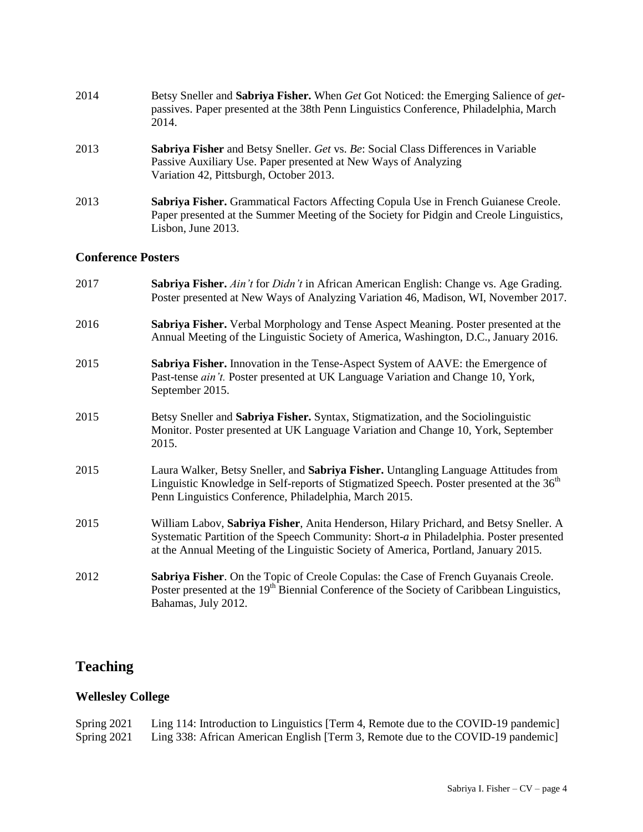| 2014 | Betsy Sneller and Sabriya Fisher. When Get Got Noticed: the Emerging Salience of get-<br>passives. Paper presented at the 38th Penn Linguistics Conference, Philadelphia, March<br>2014.                |
|------|---------------------------------------------------------------------------------------------------------------------------------------------------------------------------------------------------------|
| 2013 | <b>Sabriya Fisher</b> and Betsy Sneller. Get vs. Be: Social Class Differences in Variable<br>Passive Auxiliary Use. Paper presented at New Ways of Analyzing<br>Variation 42, Pittsburgh, October 2013. |
| 2013 | Sabriya Fisher. Grammatical Factors Affecting Copula Use in French Guianese Creole.<br>Paper presented at the Summer Meeting of the Society for Pidgin and Creole Linguistics,<br>Lisbon, June 2013.    |

#### **Conference Posters**

| 2017 | Sabriya Fisher. Ain't for Didn't in African American English: Change vs. Age Grading.<br>Poster presented at New Ways of Analyzing Variation 46, Madison, WI, November 2017.                                                                                            |
|------|-------------------------------------------------------------------------------------------------------------------------------------------------------------------------------------------------------------------------------------------------------------------------|
| 2016 | Sabriya Fisher. Verbal Morphology and Tense Aspect Meaning. Poster presented at the<br>Annual Meeting of the Linguistic Society of America, Washington, D.C., January 2016.                                                                                             |
| 2015 | Sabriya Fisher. Innovation in the Tense-Aspect System of AAVE: the Emergence of<br>Past-tense <i>ain't</i> . Poster presented at UK Language Variation and Change 10, York,<br>September 2015.                                                                          |
| 2015 | Betsy Sneller and Sabriya Fisher. Syntax, Stigmatization, and the Sociolinguistic<br>Monitor. Poster presented at UK Language Variation and Change 10, York, September<br>2015.                                                                                         |
| 2015 | Laura Walker, Betsy Sneller, and Sabriya Fisher. Untangling Language Attitudes from<br>Linguistic Knowledge in Self-reports of Stigmatized Speech. Poster presented at the 36 <sup>th</sup><br>Penn Linguistics Conference, Philadelphia, March 2015.                   |
| 2015 | William Labov, Sabriya Fisher, Anita Henderson, Hilary Prichard, and Betsy Sneller. A<br>Systematic Partition of the Speech Community: Short-a in Philadelphia. Poster presented<br>at the Annual Meeting of the Linguistic Society of America, Portland, January 2015. |
| 2012 | Sabriya Fisher. On the Topic of Creole Copulas: the Case of French Guyanais Creole.<br>Poster presented at the 19 <sup>th</sup> Biennial Conference of the Society of Caribbean Linguistics,<br>Bahamas, July 2012.                                                     |

# **Teaching**

### **Wellesley College**

Spring 2021 Ling 114: Introduction to Linguistics [Term 4, Remote due to the COVID-19 pandemic] Spring 2021 Ling 338: African American English [Term 3, Remote due to the COVID-19 pandemic]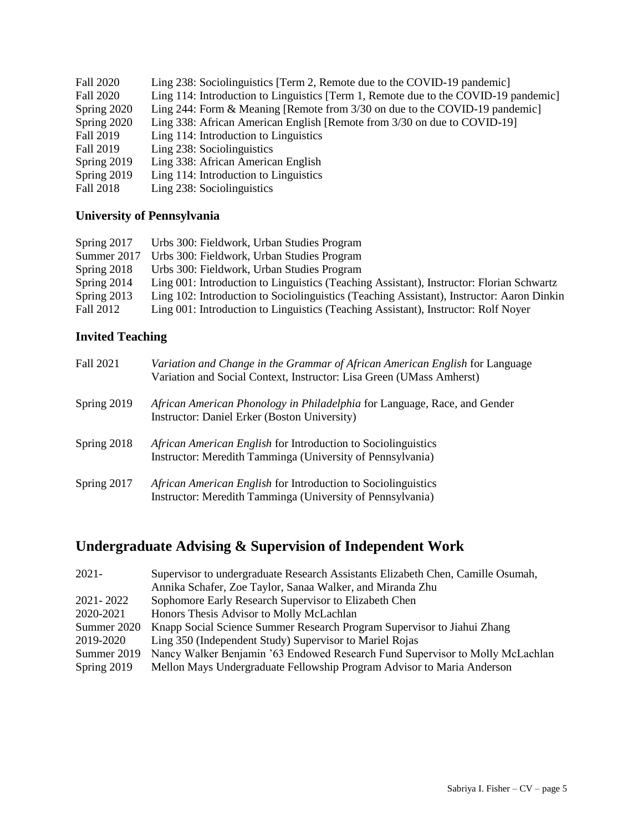| Fall 2020   | Ling 238: Sociolinguistics [Term 2, Remote due to the COVID-19 pandemic]            |
|-------------|-------------------------------------------------------------------------------------|
| Fall 2020   | Ling 114: Introduction to Linguistics [Term 1, Remote due to the COVID-19 pandemic] |
| Spring 2020 | Ling 244: Form & Meaning [Remote from $3/30$ on due to the COVID-19 pandemic]       |
| Spring 2020 | Ling 338: African American English [Remote from 3/30 on due to COVID-19]            |
| Fall 2019   | Ling 114: Introduction to Linguistics                                               |
| Fall 2019   | Ling 238: Sociolinguistics                                                          |
| Spring 2019 | Ling 338: African American English                                                  |
| Spring 2019 | Ling 114: Introduction to Linguistics                                               |
| Fall 2018   | Ling 238: Sociolinguistics                                                          |

# **University of Pennsylvania**

| Spring $2017$ | Urbs 300: Fieldwork, Urban Studies Program                                                |
|---------------|-------------------------------------------------------------------------------------------|
| Summer 2017   | Urbs 300: Fieldwork, Urban Studies Program                                                |
| Spring 2018   | Urbs 300: Fieldwork, Urban Studies Program                                                |
| Spring 2014   | Ling 001: Introduction to Linguistics (Teaching Assistant), Instructor: Florian Schwartz  |
| Spring 2013   | Ling 102: Introduction to Sociolinguistics (Teaching Assistant), Instructor: Aaron Dinkin |
| Fall 2012     | Ling 001: Introduction to Linguistics (Teaching Assistant), Instructor: Rolf Noyer        |

# **Invited Teaching**

| Fall 2021   | Variation and Change in the Grammar of African American English for Language<br>Variation and Social Context, Instructor: Lisa Green (UMass Amherst) |
|-------------|------------------------------------------------------------------------------------------------------------------------------------------------------|
| Spring 2019 | African American Phonology in Philadelphia for Language, Race, and Gender<br>Instructor: Daniel Erker (Boston University)                            |
| Spring 2018 | <i>African American English</i> for Introduction to Sociolinguistics<br>Instructor: Meredith Tamminga (University of Pennsylvania)                   |
| Spring 2017 | African American English for Introduction to Sociolinguistics<br>Instructor: Meredith Tamminga (University of Pennsylvania)                          |

# **Undergraduate Advising & Supervision of Independent Work**

| $2021 -$    | Supervisor to undergraduate Research Assistants Elizabeth Chen, Camille Osumah, |
|-------------|---------------------------------------------------------------------------------|
|             | Annika Schafer, Zoe Taylor, Sanaa Walker, and Miranda Zhu                       |
| 2021-2022   | Sophomore Early Research Supervisor to Elizabeth Chen                           |
| 2020-2021   | Honors Thesis Advisor to Molly McLachlan                                        |
| Summer 2020 | Knapp Social Science Summer Research Program Supervisor to Jiahui Zhang         |
| 2019-2020   | Ling 350 (Independent Study) Supervisor to Mariel Rojas                         |
| Summer 2019 | Nancy Walker Benjamin '63 Endowed Research Fund Supervisor to Molly McLachlan   |
| Spring 2019 | Mellon Mays Undergraduate Fellowship Program Advisor to Maria Anderson          |